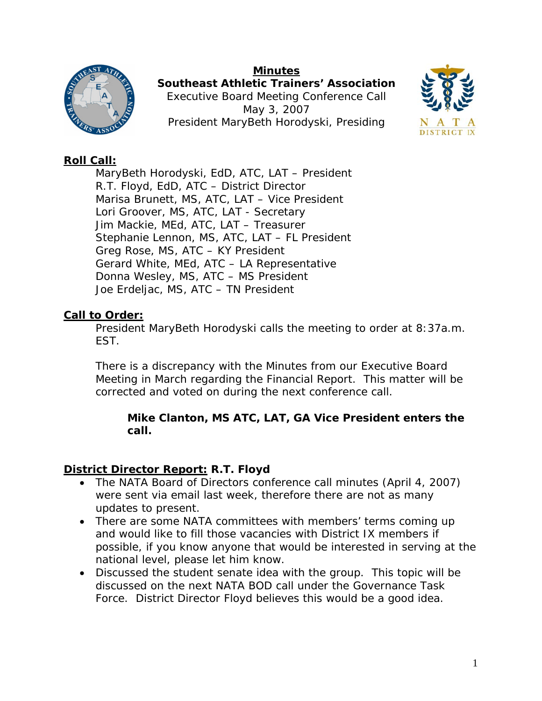#### **Minutes**



**Southeast Athletic Trainers' Association**  Executive Board Meeting Conference Call May 3, 2007 President MaryBeth Horodyski, Presiding



### **Roll Call:**

 MaryBeth Horodyski, EdD, ATC, LAT – President R.T. Floyd, EdD, ATC – District Director Marisa Brunett, MS, ATC, LAT – Vice President Lori Groover, MS, ATC, LAT - Secretary Jim Mackie, MEd, ATC, LAT – Treasurer Stephanie Lennon, MS, ATC, LAT – FL President Greg Rose, MS, ATC – KY President Gerard White, MEd, ATC – LA Representative Donna Wesley, MS, ATC – MS President Joe Erdeljac, MS, ATC – TN President

# **Call to Order:**

President MaryBeth Horodyski calls the meeting to order at 8:37a.m. EST.

There is a discrepancy with the Minutes from our Executive Board Meeting in March regarding the Financial Report. This matter will be corrected and voted on during the next conference call.

### *Mike Clanton, MS ATC, LAT, GA Vice President enters the call.*

### **District Director Report: R.T. Floyd**

- The NATA Board of Directors conference call minutes (April 4, 2007) were sent via email last week, therefore there are not as many updates to present.
- There are some NATA committees with members' terms coming up and would like to fill those vacancies with District IX members if possible, if you know anyone that would be interested in serving at the national level, please let him know.
- Discussed the student senate idea with the group. This topic will be discussed on the next NATA BOD call under the Governance Task Force. District Director Floyd believes this would be a good idea.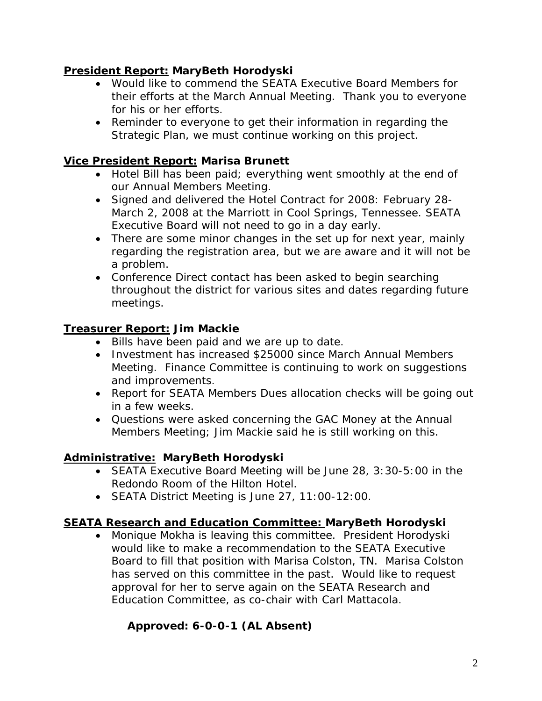### **President Report: MaryBeth Horodyski**

- Would like to commend the SEATA Executive Board Members for their efforts at the March Annual Meeting. Thank you to everyone for his or her efforts.
- Reminder to everyone to get their information in regarding the Strategic Plan, we must continue working on this project.

### **Vice President Report: Marisa Brunett**

- Hotel Bill has been paid; everything went smoothly at the end of our Annual Members Meeting.
- Signed and delivered the Hotel Contract for 2008: February 28- March 2, 2008 at the Marriott in Cool Springs, Tennessee. SEATA Executive Board will not need to go in a day early.
- There are some minor changes in the set up for next year, mainly regarding the registration area, but we are aware and it will not be a problem.
- Conference Direct contact has been asked to begin searching throughout the district for various sites and dates regarding future meetings.

# **Treasurer Report: Jim Mackie**

- Bills have been paid and we are up to date.
- Investment has increased \$25000 since March Annual Members Meeting. Finance Committee is continuing to work on suggestions and improvements.
- Report for SEATA Members Dues allocation checks will be going out in a few weeks.
- Questions were asked concerning the GAC Money at the Annual Members Meeting; Jim Mackie said he is still working on this.

# **Administrative: MaryBeth Horodyski**

- SEATA Executive Board Meeting will be June 28, 3:30-5:00 in the Redondo Room of the Hilton Hotel.
- SEATA District Meeting is June 27, 11:00-12:00.

# **SEATA Research and Education Committee: MaryBeth Horodyski**

• Monique Mokha is leaving this committee. President Horodyski would like to make a recommendation to the SEATA Executive Board to fill that position with Marisa Colston, TN. Marisa Colston has served on this committee in the past. Would like to request approval for her to serve again on the SEATA Research and Education Committee, as co-chair with Carl Mattacola.

# **Approved: 6-0-0-1 (AL Absent)**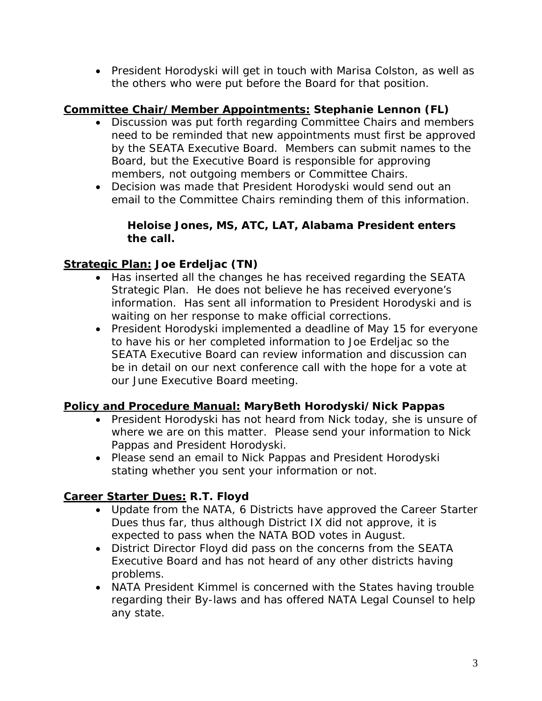• President Horodyski will get in touch with Marisa Colston, as well as the others who were put before the Board for that position.

# **Committee Chair/Member Appointments: Stephanie Lennon (FL)**

- Discussion was put forth regarding Committee Chairs and members need to be reminded that new appointments must first be approved by the SEATA Executive Board. Members can submit names to the Board, but the Executive Board is responsible for approving members, not outgoing members or Committee Chairs.
- Decision was made that President Horodyski would send out an email to the Committee Chairs reminding them of this information.

### *Heloise Jones, MS, ATC, LAT, Alabama President enters the call.*

### **Strategic Plan: Joe Erdeljac (TN)**

- Has inserted all the changes he has received regarding the SEATA Strategic Plan. He does not believe he has received everyone's information. Has sent all information to President Horodyski and is waiting on her response to make official corrections.
- President Horodyski implemented a deadline of May 15 for everyone to have his or her completed information to Joe Erdeljac so the SEATA Executive Board can review information and discussion can be in detail on our next conference call with the hope for a vote at our June Executive Board meeting.

### **Policy and Procedure Manual: MaryBeth Horodyski/Nick Pappas**

- President Horodyski has not heard from Nick today, she is unsure of where we are on this matter. Please send your information to Nick Pappas and President Horodyski.
- Please send an email to Nick Pappas and President Horodyski stating whether you sent your information or not.

### **Career Starter Dues: R.T. Floyd**

- Update from the NATA, 6 Districts have approved the Career Starter Dues thus far, thus although District IX did not approve, it is expected to pass when the NATA BOD votes in August.
- District Director Floyd did pass on the concerns from the SEATA Executive Board and has not heard of any other districts having problems.
- NATA President Kimmel is concerned with the States having trouble regarding their By-laws and has offered NATA Legal Counsel to help any state.